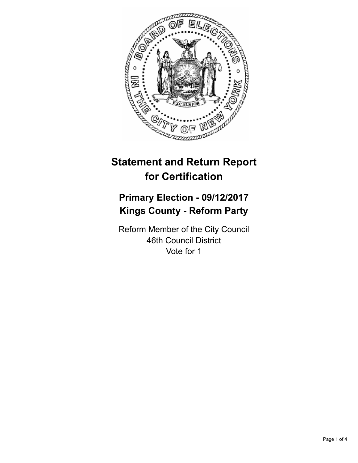

# **Statement and Return Report for Certification**

# **Primary Election - 09/12/2017 Kings County - Reform Party**

Reform Member of the City Council 46th Council District Vote for 1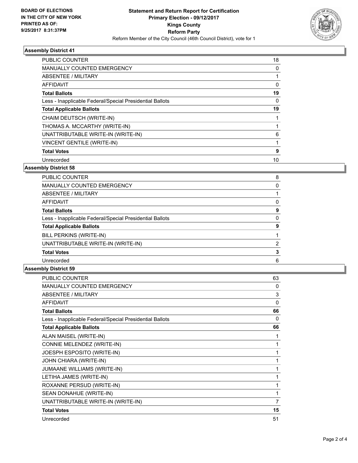

# **Assembly District 41**

| <b>PUBLIC COUNTER</b>                                    | 18 |
|----------------------------------------------------------|----|
| <b>MANUALLY COUNTED EMERGENCY</b>                        | 0  |
| ABSENTEE / MILITARY                                      |    |
| AFFIDAVIT                                                | 0  |
| <b>Total Ballots</b>                                     | 19 |
| Less - Inapplicable Federal/Special Presidential Ballots | 0  |
| <b>Total Applicable Ballots</b>                          | 19 |
| CHAIM DEUTSCH (WRITE-IN)                                 |    |
| THOMAS A. MCCARTHY (WRITE-IN)                            |    |
| UNATTRIBUTABLE WRITE-IN (WRITE-IN)                       | 6  |
| VINCENT GENTILE (WRITE-IN)                               |    |
| <b>Total Votes</b>                                       | 9  |
| Unrecorded                                               | 10 |
|                                                          |    |

### **Assembly District 58**

| <b>PUBLIC COUNTER</b>                                    | 8 |
|----------------------------------------------------------|---|
| <b>MANUALLY COUNTED EMERGENCY</b>                        | 0 |
| ABSENTEE / MILITARY                                      |   |
| AFFIDAVIT                                                | 0 |
| <b>Total Ballots</b>                                     | 9 |
| Less - Inapplicable Federal/Special Presidential Ballots | 0 |
| <b>Total Applicable Ballots</b>                          | 9 |
| BILL PERKINS (WRITE-IN)                                  |   |
| UNATTRIBUTABLE WRITE-IN (WRITE-IN)                       | 2 |
| <b>Total Votes</b>                                       | 3 |
| Unrecorded                                               | 6 |
|                                                          |   |

#### **Assembly District 59**

| <b>PUBLIC COUNTER</b>                                    | 63 |
|----------------------------------------------------------|----|
| <b>MANUALLY COUNTED EMERGENCY</b>                        | 0  |
| <b>ABSENTEE / MILITARY</b>                               | 3  |
| <b>AFFIDAVIT</b>                                         | 0  |
| <b>Total Ballots</b>                                     | 66 |
| Less - Inapplicable Federal/Special Presidential Ballots | 0  |
| <b>Total Applicable Ballots</b>                          | 66 |
| ALAN MAISEL (WRITE-IN)                                   | 1  |
| CONNIE MELENDEZ (WRITE-IN)                               | 1  |
| JOESPH ESPOSITO (WRITE-IN)                               | 1  |
| JOHN CHIARA (WRITE-IN)                                   | 1  |
| <b>JUMAANE WILLIAMS (WRITE-IN)</b>                       | 1  |
| LETIHA JAMES (WRITE-IN)                                  | 1  |
| ROXANNE PERSUD (WRITE-IN)                                | 1  |
| SEAN DONAHUE (WRITE-IN)                                  | 1  |
| UNATTRIBUTABLE WRITE-IN (WRITE-IN)                       | 7  |
| <b>Total Votes</b>                                       | 15 |
| Unrecorded                                               | 51 |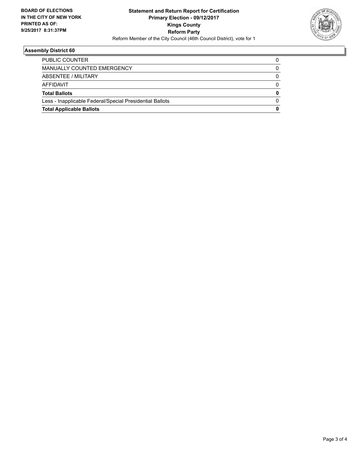

# **Assembly District 60**

| <b>Total Applicable Ballots</b>                          | 0 |
|----------------------------------------------------------|---|
| Less - Inapplicable Federal/Special Presidential Ballots |   |
| <b>Total Ballots</b>                                     | 0 |
| AFFIDAVIT                                                |   |
| ABSENTEE / MILITARY                                      |   |
| MANUALLY COUNTED EMERGENCY                               |   |
| <b>PUBLIC COUNTER</b>                                    |   |